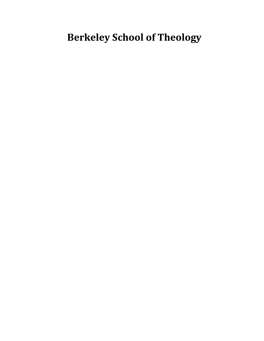# **Berkeley School of Theology**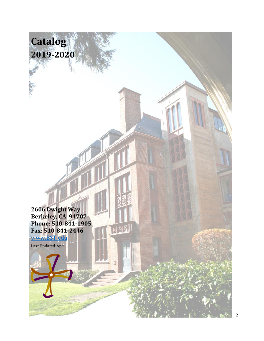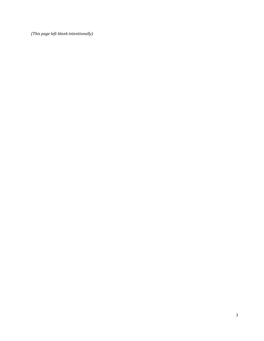*(This page left blank intentionally)*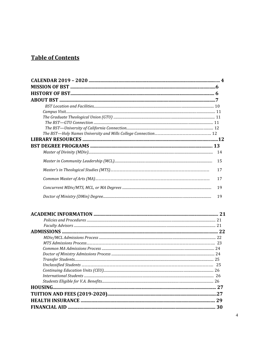# **Table of Contents**

| 14 |
|----|
| 15 |
| 17 |
| 17 |
| 19 |
| 19 |

| -22 |
|-----|
|     |
|     |
|     |
|     |
|     |
|     |
|     |
|     |
|     |
|     |
|     |
| 29  |
| 30  |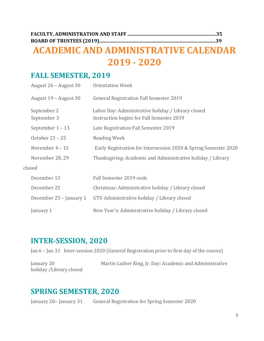| <b>ACADEMIC AND ADMINISTRATIVE CALENDAR</b> |  |
|---------------------------------------------|--|

**2019 - 2020** 

# **FALL SEMESTER, 2019**

| August 26 – August 30      | <b>Orientation Week</b>                                                                         |
|----------------------------|-------------------------------------------------------------------------------------------------|
| August 19 – August 30      | <b>General Registration Fall Semester 2019</b>                                                  |
| September 2<br>September 3 | Labor Day: Administrative holiday / Library closed<br>Instruction begins for Fall Semester 2019 |
| September 1 - 13           | Late Registration Fall Semester 2019                                                            |
| October 21 - 25            | <b>Reading Week</b>                                                                             |
| November $4 - 15$          | Early Registration for Intersession 2020 & Spring Semester 2020                                 |
| November 28, 29            | Thanksgiving: Academic and Administrative holiday / Library                                     |
| closed                     |                                                                                                 |
| December 13                | Fall Semester 2019 ends                                                                         |
| December 25                | Christmas: Administrative holiday / Library closed                                              |
| December 25 – January 1    | GTU Administrative holiday / Library closed                                                     |
| January 1                  | New Year's: Administrative holiday / Library closed                                             |

# **INTER-SESSION, 2020**

Jan 6 – Jan 31 Inter-session 2020 (General Registration prior to first day of the course)

January 20 Martin Luther King, Jr. Day: Academic and Administrative holiday /Library closed

# **SPRING SEMESTER, 2020**

January 20– January 31 General Registration for Spring Semester 2020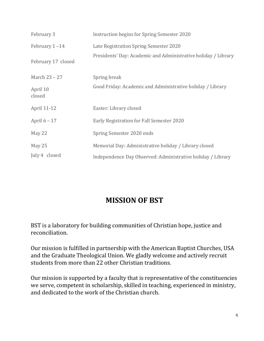| February 3         | Instruction begins for Spring Semester 2020                    |
|--------------------|----------------------------------------------------------------|
| February $1 - 14$  | Late Registration Spring Semester 2020                         |
| February 17 closed | Presidents' Day: Academic and Administrative holiday / Library |
| March 23 - 27      | Spring break                                                   |
| April 10<br>closed | Good Friday: Academic and Administrative holiday / Library     |
| April 11-12        | Easter: Library closed                                         |
| April $6 - 17$     | Early Registration for Fall Semester 2020                      |
| May 22             | Spring Semester 2020 ends                                      |
| May 25             | Memorial Day: Administrative holiday / Library closed          |
| July 4 closed      | Independence Day Observed: Administrative holiday / Library    |

# **MISSION OF BST**

BST is a laboratory for building communities of Christian hope, justice and reconciliation.

Our mission is fulfilled in partnership with the American Baptist Churches, USA and the Graduate Theological Union. We gladly welcome and actively recruit students from more than 22 other Christian traditions.

Our mission is supported by a faculty that is representative of the constituencies we serve, competent in scholarship, skilled in teaching, experienced in ministry, and dedicated to the work of the Christian church.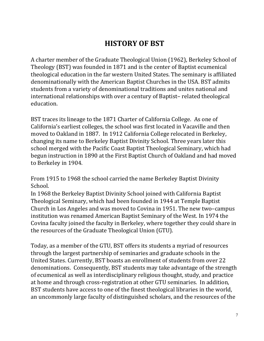# **HISTORY OF BST**

A charter member of the Graduate Theological Union (1962), Berkeley School of Theology (BST) was founded in 1871 and is the center of Baptist ecumenical theological education in the far western United States. The seminary is affiliated denominationally with the American Baptist Churches in the USA. BST admits students from a variety of denominational traditions and unites national and international relationships with over a century of Baptist– related theological education.

BST traces its lineage to the 1871 Charter of California College. As one of California's earliest colleges, the school was first located in Vacaville and then moved to Oakland in 1887. In 1912 California College relocated in Berkeley, changing its name to Berkeley Baptist Divinity School. Three years later this school merged with the Pacific Coast Baptist Theological Seminary, which had begun instruction in 1890 at the First Baptist Church of Oakland and had moved to Berkeley in 1904.

From 1915 to 1968 the school carried the name Berkeley Baptist Divinity School.

In 1968 the Berkeley Baptist Divinity School joined with California Baptist Theological Seminary, which had been founded in 1944 at Temple Baptist Church in Los Angeles and was moved to Covina in 1951. The new two–campus institution was renamed American Baptist Seminary of the West. In 1974 the Covina faculty joined the faculty in Berkeley, where together they could share in the resources of the Graduate Theological Union (GTU).

Today, as a member of the GTU, BST offers its students a myriad of resources through the largest partnership of seminaries and graduate schools in the United States. Currently, BST boasts an enrollment of students from over 22 denominations. Consequently, BST students may take advantage of the strength of ecumenical as well as interdisciplinary religious thought, study, and practice at home and through cross-registration at other GTU seminaries. In addition, BST students have access to one of the finest theological libraries in the world, an uncommonly large faculty of distinguished scholars, and the resources of the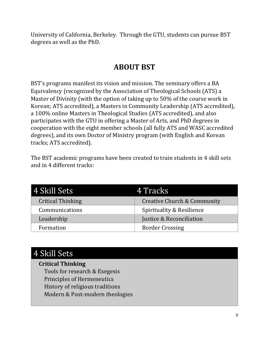University of California, Berkeley. Through the GTU, students can pursue BST degrees as well as the PhD.

# **ABOUT BST**

BST's programs manifest its vision and mission. The seminary offers a BA Equivalency (recognized by the Association of Theological Schools (ATS) a Master of Divinity (with the option of taking up to 50% of the course work in Korean; ATS accredited), a Masters in Community Leadership (ATS accredited), a 100% online Masters in Theological Studies (ATS accredited), and also participates with the GTU in offering a Master of Arts, and PhD degrees in cooperation with the eight member schools (all fully ATS and WASC accredited degrees), and its own Doctor of Ministry program (with English and Korean tracks; ATS accredited).

The BST academic programs have been created to train students in 4 skill sets and in 4 different tracks:

| 4 Skill Sets             | 14 Tracks'                  |
|--------------------------|-----------------------------|
| <b>Critical Thinking</b> | Creative Church & Community |
| Communications           | Spirituality & Resilience   |
| Leadership               | Justice & Reconciliation    |
| Formation                | <b>Border Crossing</b>      |

# 4 Skill Sets

#### **Critical Thinking**

 Tools for research & Exegesis Principles of Hermeneutics History of religious traditions Modern & Post-modern theologies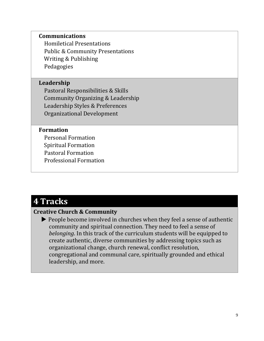#### **Communications**

Homiletical Presentations Public & Community Presentations Writing & Publishing Pedagogies

#### **Leadership**

 Pastoral Responsibilities & Skills Community Organizing & Leadership Leadership Styles & Preferences Organizational Development

#### **Formation**

 Personal Formation Spiritual Formation Pastoral Formation Professional Formation

# **4 Tracks**

#### **Creative Church & Community**

People become involved in churches when they feel a sense of authentic community and spiritual connection. They need to feel a sense of *belonging*. In this track of the curriculum students will be equipped to create authentic, diverse communities by addressing topics such as organizational change, church renewal, conflict resolution, congregational and communal care, spiritually grounded and ethical leadership, and more.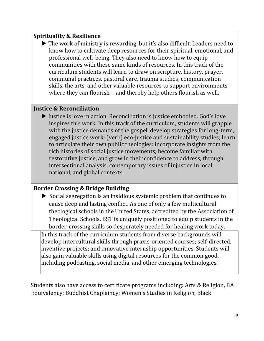#### **Spirituality & Resilience**

 The work of ministry is rewarding, but it's also difficult. Leaders need to know how to cultivate deep resources for their spiritual, emotional, and professional well-being. They also need to know how to equip communities with these same kinds of resources. In this track of the curriculum students will learn to draw on scripture, history, prayer, communal practices, pastoral care, trauma studies, communication skills, the arts, and other valuable resources to support environments where they can flourish—and thereby help others flourish as well.

#### **Justice & Reconciliation**

 $\blacktriangleright$  Justice is love in action. Reconciliation is justice embodied. God's love inspires this work. In this track of the curriculum, students will grapple with the justice demands of the gospel, develop strategies for long-term, engaged justice work: (verb) eco-justice and sustainability studies; learn to articulate their own public theologies: incorporate insights from the rich histories of social justice movements; become familiar with restorative justice, and grow in their confidence to address, through intersectional analysis, contemporary issues of injustice in local, national, and global contexts.

#### **Border Crossing & Bridge Building**

 $\triangleright$  Social segregation is an insidious systemic problem that continues to cause deep and lasting conflict. As one of only a few multicultural theological schools in the United States, accredited by the Association of Theological Schools, BST is uniquely positioned to equip students in the border-crossing skills so desperately needed for healing work today. In this track of the curriculum students from diverse backgrounds will develop intercultural skills through praxis-oriented courses; self-directed,

inventive projects; and innovative internship opportunities. Students will also gain valuable skills using digital resources for the common good, including podcasting, social media, and other emerging technologies.

Students also have access to certificate programs including: Arts & Religion, BA Equivalency; Buddhist Chaplaincy; Women's Studies in Religion, Black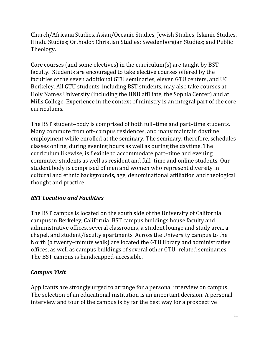Church/Africana Studies, Asian/Oceanic Studies, Jewish Studies, Islamic Studies, Hindu Studies; Orthodox Christian Studies; Swedenborgian Studies; and Public Theology.

Core courses (and some electives) in the curriculum(s) are taught by BST faculty. Students are encouraged to take elective courses offered by the faculties of the seven additional GTU seminaries, eleven GTU centers, and UC Berkeley. All GTU students, including BST students, may also take courses at Holy Names University (including the HNU affiliate, the Sophia Center) and at Mills College. Experience in the context of ministry is an integral part of the core curriculums.

The BST student–body is comprised of both full–time and part–time students. Many commute from off–campus residences, and many maintain daytime employment while enrolled at the seminary. The seminary, therefore, schedules classes online, during evening hours as well as during the daytime. The curriculum likewise, is flexible to accommodate part–time and evening commuter students as well as resident and full–time and online students. Our student body is comprised of men and women who represent diversity in cultural and ethnic backgrounds, age, denominational affiliation and theological thought and practice.

# *BST Location and Facilities*

The BST campus is located on the south side of the University of California campus in Berkeley, California. BST campus buildings house faculty and administrative offices, several classrooms, a student lounge and study area, a chapel, and student/faculty apartments. Across the University campus to the North (a twenty–minute walk) are located the GTU library and administrative offices, as well as campus buildings of several other GTU–related seminaries. The BST campus is handicapped-accessible.

# *Campus Visit*

Applicants are strongly urged to arrange for a personal interview on campus. The selection of an educational institution is an important decision. A personal interview and tour of the campus is by far the best way for a prospective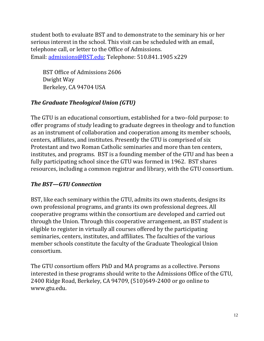student both to evaluate BST and to demonstrate to the seminary his or her serious interest in the school. This visit can be scheduled with an email, telephone call, or letter to the Office of Admissions. Email: admissions@BST.edu; Telephone: 510.841.1905 x229

BST Office of Admissions 2606 Dwight Way Berkeley, CA 94704 USA

# *The Graduate Theological Union (GTU)*

The GTU is an educational consortium, established for a two–fold purpose: to offer programs of study leading to graduate degrees in theology and to function as an instrument of collaboration and cooperation among its member schools, centers, affiliates, and institutes. Presently the GTU is comprised of six Protestant and two Roman Catholic seminaries and more than ten centers, institutes, and programs. BST is a founding member of the GTU and has been a fully participating school since the GTU was formed in 1962. BST shares resources, including a common registrar and library, with the GTU consortium.

# *The BST—GTU Connection*

BST, like each seminary within the GTU, admits its own students, designs its own professional programs, and grants its own professional degrees. All cooperative programs within the consortium are developed and carried out through the Union. Through this cooperative arrangement, an BST student is eligible to register in virtually all courses offered by the participating seminaries, centers, institutes, and affiliates. The faculties of the various member schools constitute the faculty of the Graduate Theological Union consortium.

The GTU consortium offers PhD and MA programs as a collective. Persons interested in these programs should write to the Admissions Office of the GTU, 2400 Ridge Road, Berkeley, CA 94709, (510)649-2400 or go online to www.gtu.edu.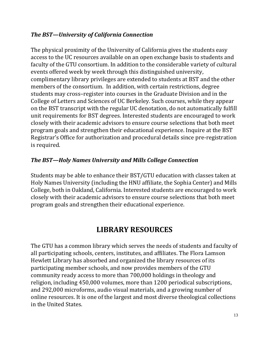### *The BST—University of California Connection*

The physical proximity of the University of California gives the students easy access to the UC resources available on an open exchange basis to students and faculty of the GTU consortium. In addition to the considerable variety of cultural events offered week by week through this distinguished university, complimentary library privileges are extended to students at BST and the other members of the consortium. In addition, with certain restrictions, degree students may cross–register into courses in the Graduate Division and in the College of Letters and Sciences of UC Berkeley. Such courses, while they appear on the BST transcript with the regular UC denotation, do not automatically fulfill unit requirements for BST degrees. Interested students are encouraged to work closely with their academic advisors to ensure course selections that both meet program goals and strengthen their educational experience. Inquire at the BST Registrar's Office for authorization and procedural details since pre-registration is required.

#### *The BST—Holy Names University and Mills College Connection*

Students may be able to enhance their BST/GTU education with classes taken at Holy Names University (including the HNU affiliate, the Sophia Center) and Mills College, both in Oakland, California. Interested students are encouraged to work closely with their academic advisors to ensure course selections that both meet program goals and strengthen their educational experience.

# **LIBRARY RESOURCES**

The GTU has a common library which serves the needs of students and faculty of all participating schools, centers, institutes, and affiliates. The Flora Lamson Hewlett Library has absorbed and organized the library resources of its participating member schools, and now provides members of the GTU community ready access to more than 700,000 holdings in theology and religion, including 450,000 volumes, more than 1200 periodical subscriptions, and 292,000 microforms, audio visual materials, and a growing number of online resources. It is one of the largest and most diverse theological collections in the United States.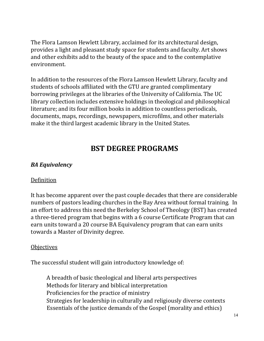The Flora Lamson Hewlett Library, acclaimed for its architectural design, provides a light and pleasant study space for students and faculty. Art shows and other exhibits add to the beauty of the space and to the contemplative environment.

In addition to the resources of the Flora Lamson Hewlett Library, faculty and students of schools affiliated with the GTU are granted complimentary borrowing privileges at the libraries of the University of California. The UC library collection includes extensive holdings in theological and philosophical literature; and its four million books in addition to countless periodicals, documents, maps, recordings, newspapers, microfilms, and other materials make it the third largest academic library in the United States.

# **BST DEGREE PROGRAMS**

### *BA Equivalency*

#### Definition

It has become apparent over the past couple decades that there are considerable numbers of pastors leading churches in the Bay Area without formal training. In an effort to address this need the Berkeley School of Theology (BST) has created a three-tiered program that begins with a 6 course Certificate Program that can earn units toward a 20 course BA Equivalency program that can earn units towards a Master of Divinity degree.

#### **Objectives**

The successful student will gain introductory knowledge of:

A breadth of basic theological and liberal arts perspectives Methods for literary and biblical interpretation Proficiencies for the practice of ministry Strategies for leadership in culturally and religiously diverse contexts Essentials of the justice demands of the Gospel (morality and ethics)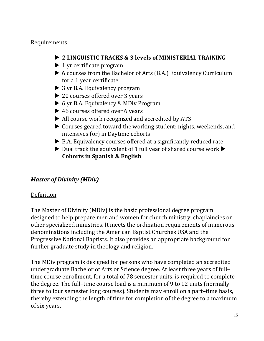#### **Requirements**

- **2 LINGUISTIC TRACKS & 3 levels of MINISTERIAL TRAINING**
- $\blacktriangleright$  1 yr certificate program
- 6 courses from the Bachelor of Arts (B.A.) Equivalency Curriculum for a 1 year certificate
- ▶ 3 yr B.A. Equivalency program
- ▶ 20 courses offered over 3 years
- ▶ 6 yr B.A. Equivalency & MDiv Program
- ▶ 46 courses offered over 6 years
- All course work recognized and accredited by ATS
- Courses geared toward the working student: nights, weekends, and intensives (or) in Daytime cohorts
- B.A. Equivalency courses offered at a significantly reduced rate
- $\triangleright$  Dual track the equivalent of 1 full year of shared course work  $\triangleright$ **Cohorts in Spanish & English**

#### *Master of Divinity (MDiv)*

#### Definition

The Master of Divinity (MDiv) is the basic professional degree program designed to help prepare men and women for church ministry, chaplaincies or other specialized ministries. It meets the ordination requirements of numerous denominations including the American Baptist Churches USA and the Progressive National Baptists. It also provides an appropriate background for further graduate study in theology and religion.

The MDiv program is designed for persons who have completed an accredited undergraduate Bachelor of Arts or Science degree. At least three years of full– time course enrollment, for a total of 78 semester units, is required to complete the degree. The full–time course load is a minimum of 9 to 12 units (normally three to four semester long courses). Students may enroll on a part–time basis, thereby extending the length of time for completion of the degree to a maximum of six years.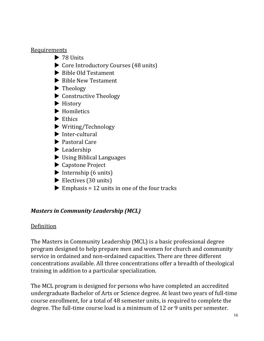Requirements

- $\triangleright$  78 Units
- ▶ Core Introductory Courses (48 units)
- ▶ Bible Old Testament
- Bible New Testament
- ▶ Theology
- ▶ Constructive Theology
- ▶ History
- $\blacktriangleright$  Homiletics
- $\blacktriangleright$  Ethics
- Writing/Technology
- $\blacktriangleright$  Inter-cultural
- ▶ Pastoral Care
- **Leadership**
- Using Biblical Languages
- ▶ Capstone Project
- Internship  $(6 \text{ units})$
- ▶ Electives (30 units)
- $\triangleright$  Emphasis = 12 units in one of the four tracks

# *Masters in Community Leadership (MCL)*

#### Definition

The Masters in Community Leadership (MCL) is a basic professional degree program designed to help prepare men and women for church and community service in ordained and non-ordained capacities. There are three different concentrations available. All three concentrations offer a breadth of theological training in addition to a particular specialization.

The MCL program is designed for persons who have completed an accredited undergraduate Bachelor of Arts or Science degree. At least two years of full-time course enrollment, for a total of 48 semester units, is required to complete the degree. The full-time course load is a minimum of 12 or 9 units per semester.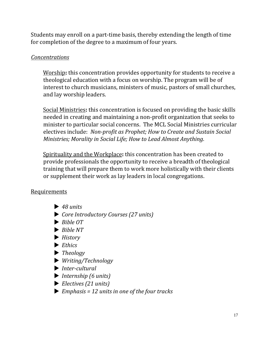Students may enroll on a part-time basis, thereby extending the length of time for completion of the degree to a maximum of four years.

#### *Concentrations*

Worship**:** this concentration provides opportunity for students to receive a theological education with a focus on worship. The program will be of interest to church musicians, ministers of music, pastors of small churches, and lay worship leaders.

Social Ministries**:** this concentration is focused on providing the basic skills needed in creating and maintaining a non-profit organization that seeks to minister to particular social concerns. The MCL Social Ministries curricular electives include: *Non-profit as Prophet; How to Create and Sustain Social Ministries; Morality in Social Life; How to Lead Almost Anything*.

Spirituality and the Workplace**:** this concentration has been created to provide professionals the opportunity to receive a breadth of theological training that will prepare them to work more holistically with their clients or supplement their work as lay leaders in local congregations.

#### **Requirements**

- *48 units*
- *Core Introductory Courses (27 units)*
- *Bible OT*
- *Bible NT*
- *History*
- *Ethics*
- *Theology*
- *Writing/Technology*
- *Inter-cultural*
- *Internship (6 units)*
- *Electives (21 units)*
- *Emphasis = 12 units in one of the four tracks*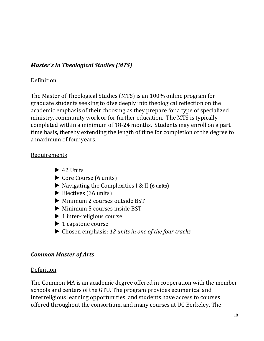### *Master's in Theological Studies (MTS)*

#### Definition

The Master of Theological Studies (MTS) is an 100% online program for graduate students seeking to dive deeply into theological reflection on the academic emphasis of their choosing as they prepare for a type of specialized ministry, community work or for further education. The MTS is typically completed within a minimum of 18-24 months. Students may enroll on a part time basis, thereby extending the length of time for completion of the degree to a maximum of four years.

#### **Requirements**

- $\blacktriangleright$  42 Units
- ▶ Core Course (6 units)
- $\blacktriangleright$  Navigating the Complexities I & II (6 units)
- Electives (36 units)
- Minimum 2 courses outside BST
- Minimum 5 courses inside BST
- $\blacktriangleright$  1 inter-religious course
- $\blacktriangleright$  1 capstone course
- Chosen emphasis: *12 units in one of the four tracks*

#### *Common Master of Arts*

#### Definition

The Common MA is an academic degree offered in cooperation with the member schools and centers of the GTU. The program provides ecumenical and interreligious learning opportunities, and students have access to courses offered throughout the consortium, and many courses at UC Berkeley. The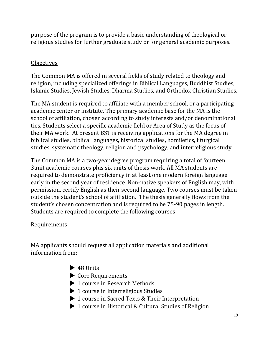purpose of the program is to provide a basic understanding of theological or religious studies for further graduate study or for general academic purposes.

#### **Objectives**

The Common MA is offered in several fields of study related to theology and religion, including specialized offerings in Biblical Languages, Buddhist Studies, Islamic Studies, Jewish Studies, Dharma Studies, and Orthodox Christian Studies.

The MA student is required to affiliate with a member school, or a participating academic center or institute. The primary academic base for the MA is the school of affiliation, chosen according to study interests and/or denominational ties. Students select a specific academic field or Area of Study as the focus of their MA work. At present BST is receiving applications for the MA degree in biblical studies, biblical languages, historical studies, homiletics, liturgical studies, systematic theology, religion and psychology, and interreligious study.

The Common MA is a two-year degree program requiring a total of fourteen 3unit academic courses plus six units of thesis work. All MA students are required to demonstrate proficiency in at least one modern foreign language early in the second year of residence. Non-native speakers of English may, with permission, certify English as their second language. Two courses must be taken outside the student's school of affiliation. The thesis generally flows from the student's chosen concentration and is required to be 75-90 pages in length. Students are required to complete the following courses:

#### **Requirements**

MA applicants should request all application materials and additional information from:

- $\blacktriangleright$  48 Units
- ▶ Core Requirements
- ▶ 1 course in Research Methods
- $\blacktriangleright$  1 course in Interreligious Studies
- ▶ 1 course in Sacred Texts & Their Interpretation
- ▶ 1 course in Historical & Cultural Studies of Religion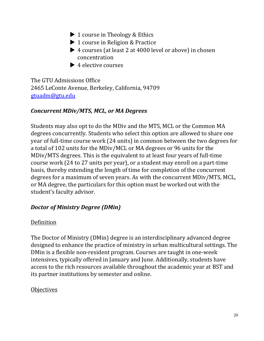- ▶ 1 course in Theology & Ethics
- ▶ 1 course in Religion & Practice
- ▶ 4 courses (at least 2 at 4000 level or above) in chosen concentration
- $\blacktriangleright$  4 elective courses

The GTU Admissions Office 2465 LeConte Avenue, Berkeley, California, 94709 gtuadm@gtu.edu

#### *Concurrent MDiv/MTS, MCL, or MA Degrees*

Students may also opt to do the MDiv and the MTS, MCL or the Common MA degrees concurrently. Students who select this option are allowed to share one year of full-time course work (24 units) in common between the two degrees for a total of 102 units for the MDiv/MCL or MA degrees or 96 units for the MDiv/MTS degrees. This is the equivalent to at least four years of full-time course work (24 to 27 units per year), or a student may enroll on a part-time basis, thereby extending the length of time for completion of the concurrent degrees for a maximum of seven years. As with the concurrent MDiv/MTS, MCL, or MA degree, the particulars for this option must be worked out with the student's faculty advisor.

#### *Doctor of Ministry Degree (DMin)*

#### Definition

The Doctor of Ministry (DMin) degree is an interdisciplinary advanced degree designed to enhance the practice of ministry in urban multicultural settings. The DMin is a flexible non-resident program. Courses are taught in one-week intensives, typically offered in January and June. Additionally, students have access to the rich resources available throughout the academic year at BST and its partner institutions by semester and online.

#### **Objectives**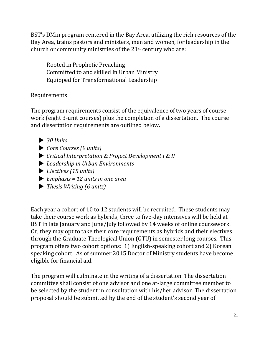BST's DMin program centered in the Bay Area, utilizing the rich resources of the Bay Area, trains pastors and ministers, men and women, for leadership in the church or community ministries of the 21st century who are:

Rooted in Prophetic Preaching Committed to and skilled in Urban Ministry Equipped for Transformational Leadership

#### Requirements

The program requirements consist of the equivalence of two years of course work (eight 3-unit courses) plus the completion of a dissertation. The course and dissertation requirements are outlined below.

- *30 Units*
- *Core Courses (9 units)*
- *Critical Interpretation & Project Development I & II*
- *Leadership in Urban Environments*
- *Electives (15 units)*
- *Emphasis = 12 units in one area*
- *Thesis Writing (6 units)*

Each year a cohort of 10 to 12 students will be recruited. These students may take their course work as hybrids; three to five-day intensives will be held at BST in late January and June/July followed by 14 weeks of online coursework. Or, they may opt to take their core requirements as hybrids and their electives through the Graduate Theological Union (GTU) in semester long courses. This program offers two cohort options: 1) English-speaking cohort and 2) Korean speaking cohort. As of summer 2015 Doctor of Ministry students have become eligible for financial aid.

The program will culminate in the writing of a dissertation. The dissertation committee shall consist of one advisor and one at-large committee member to be selected by the student in consultation with his/her advisor. The dissertation proposal should be submitted by the end of the student's second year of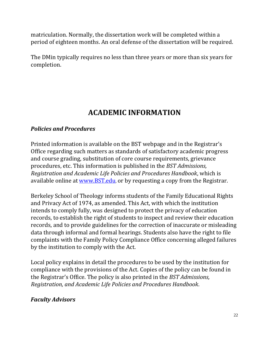matriculation. Normally, the dissertation work will be completed within a period of eighteen months. An oral defense of the dissertation will be required.

The DMin typically requires no less than three years or more than six years for completion.

# **ACADEMIC INFORMATION**

#### *Policies and Procedures*

Printed information is available on the BST webpage and in the Registrar's Office regarding such matters as standards of satisfactory academic progress and course grading, substitution of core course requirements, grievance procedures, etc. This information is published in the *BST Admissions, Registration and Academic Life Policies and Procedures Handbook*, which is available online at [www.BST.edu](http://www.absw.edu/), [o](http://www.absw.edu/)r by requesting a copy from the Registrar.

Berkeley School of Theology informs students of the Family Educational Rights and Privacy Act of 1974, as amended. This Act, with which the institution intends to comply fully, was designed to protect the privacy of education records, to establish the right of students to inspect and review their education records, and to provide guidelines for the correction of inaccurate or misleading data through informal and formal hearings. Students also have the right to file complaints with the Family Policy Compliance Office concerning alleged failures by the institution to comply with the Act.

Local policy explains in detail the procedures to be used by the institution for compliance with the provisions of the Act. Copies of the policy can be found in the Registrar's Office. The policy is also printed in the *BST Admissions, Registration, and Academic Life Policies and Procedures Handbook*.

#### *Faculty Advisors*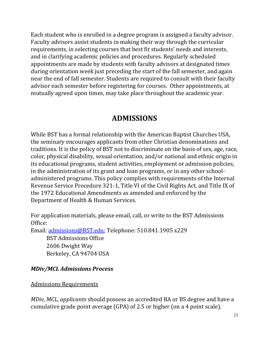Each student who is enrolled in a degree program is assigned a faculty advisor. Faculty advisors assist students in making their way through the curricular requirements, in selecting courses that best fit students' needs and interests, and in clarifying academic policies and procedures. Regularly scheduled appointments are made by students with faculty advisors at designated times during orientation week just preceding the start of the fall semester, and again near the end of fall semester. Students are required to consult with their faculty advisor each semester before registering for courses. Other appointments, at mutually agreed upon times, may take place throughout the academic year.

# **ADMISSIONS**

While BST has a formal relationship with the American Baptist Churches USA, the seminary encourages applicants from other Christian denominations and traditions. It is the policy of BST not to discriminate on the basis of sex, age, race, color, physical disability, sexual orientation, and/or national and ethnic origin in its educational programs, student activities, employment or admission policies, in the administration of its grant and loan programs, or in any other schooladministered programs. This policy complies with requirements of the Internal Revenue Service Procedure 321-1, Title VI of the Civil Rights Act, and Title IX of the 1972 Educational Amendments as amended and enforced by the Department of Health & Human Services.

For application materials, please email, call, or write to the BST Admissions Office:

Email: admissions@BST.edu; Telephone: 510.841.1905 x229

BST Admissions Office 2606 Dwight Way Berkeley, CA 94704 USA

# *MDiv/MCL Admissions Process*

Admissions Requirements

*MDiv, MCL, applicants* should possess an accredited BA or BS degree and have a cumulative grade point average (GPA) of 2.5 or higher (on a 4 point scale).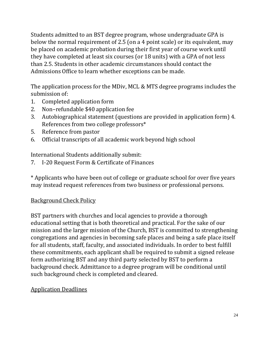Students admitted to an BST degree program, whose undergraduate GPA is below the normal requirement of 2.5 (on a 4 point scale) or its equivalent, may be placed on academic probation during their first year of course work until they have completed at least six courses (or 18 units) with a GPA of not less than 2.5. Students in other academic circumstances should contact the Admissions Office to learn whether exceptions can be made.

The application process for the MDiv, MCL & MTS degree programs includes the submission of:

- 1. Completed application form
- 2. Non–refundable \$40 application fee
- 3. Autobiographical statement (questions are provided in application form) 4. References from two college professors\*
- 5. Reference from pastor
- 6. Official transcripts of all academic work beyond high school

International Students additionally submit:

7. I-20 Request Form & Certificate of Finances

\* Applicants who have been out of college or graduate school for over five years may instead request references from two business or professional persons.

#### Background Check Policy

BST partners with churches and local agencies to provide a thorough educational setting that is both theoretical and practical. For the sake of our mission and the larger mission of the Church, BST is committed to strengthening congregations and agencies in becoming safe places and being a safe place itself for all students, staff, faculty, and associated individuals. In order to best fulfill these commitments, each applicant shall be required to submit a signed release form authorizing BST and any third party selected by BST to perform a background check. Admittance to a degree program will be conditional until such background check is completed and cleared.

# Application Deadlines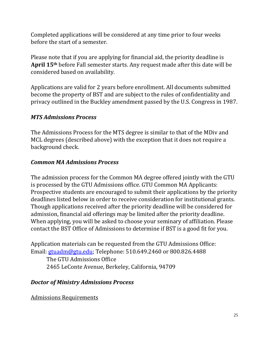Completed applications will be considered at any time prior to four weeks before the start of a semester.

Please note that if you are applying for financial aid, the priority deadline is **April 15th** before Fall semester starts. Any request made after this date will be considered based on availability.

Applications are valid for 2 years before enrollment. All documents submitted become the property of BST and are subject to the rules of confidentiality and privacy outlined in the Buckley amendment passed by the U.S. Congress in 1987.

#### *MTS Admissions Process*

The Admissions Process for the MTS degree is similar to that of the MDiv and MCL degrees (described above) with the exception that it does not require a background check.

#### *Common MA Admissions Process*

The admission process for the Common MA degree offered jointly with the GTU is processed by the GTU Admissions office. GTU Common MA Applicants: Prospective students are encouraged to submit their applications by the priority deadlines listed below in order to receive consideration for institutional grants. Though applications received after the priority deadline will be considered for admission, financial aid offerings may be limited after the priority deadline. When applying, you will be asked to choose your seminary of affiliation. Please contact the BST Office of Admissions to determine if BST is a good fit for you.

Application materials can be requested from the GTU Admissions Office: Email: gtuadm@gtu.edu; Telephone: 510.649.2460 or 800.826.4488

The GTU Admissions Office 2465 LeConte Avenue, Berkeley, California, 94709

#### *Doctor of Ministry Admissions Process*

Admissions Requirements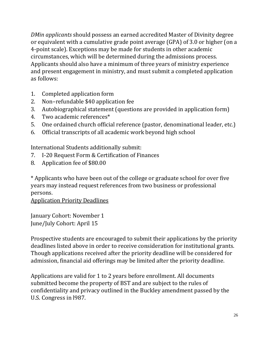*DMin applicants* should possess an earned accredited Master of Divinity degree or equivalent with a cumulative grade point average (GPA) of 3.0 or higher (on a 4-point scale). Exceptions may be made for students in other academic circumstances, which will be determined during the admissions process. Applicants should also have a minimum of three years of ministry experience and present engagement in ministry, and must submit a completed application as follows:

- 1. Completed application form
- 2. Non–refundable \$40 application fee
- 3. Autobiographical statement (questions are provided in application form)
- 4. Two academic references\*
- 5. One ordained church official reference (pastor, denominational leader, etc.)
- 6. Official transcripts of all academic work beyond high school

International Students additionally submit:

- 7. I-20 Request Form & Certification of Finances
- 8. Application fee of \$80.00

\* Applicants who have been out of the college or graduate school for over five years may instead request references from two business or professional persons.

Application Priority Deadlines

January Cohort: November 1 June/July Cohort: April 15

Prospective students are encouraged to submit their applications by the priority deadlines listed above in order to receive consideration for institutional grants. Though applications received after the priority deadline will be considered for admission, financial aid offerings may be limited after the priority deadline.

Applications are valid for 1 to 2 years before enrollment. All documents submitted become the property of BST and are subject to the rules of confidentiality and privacy outlined in the Buckley amendment passed by the U.S. Congress in l987.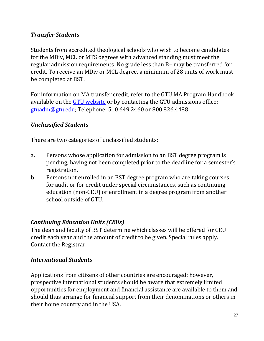### *Transfer Students*

Students from accredited theological schools who wish to become candidates for the MDiv, MCL or MTS degrees with advanced standing must meet the regular admission requirements. No grade less than B– may be transferred for credit. To receive an MDiv or MCL degree, a minimum of 28 units of work must be completed at BST.

For information on MA transfer credit, refer to the GTU MA Program Handbook available on the [GTU website](http://www.gtu.edu/sites/default/files/docs/academics/MA-Handbook-2012-13.pdf) or by contacting the GTU admissions office: gtuadm@gtu.edu; Telephone: 510.649.2460 or 800.826.4488

#### *Unclassified Students*

There are two categories of unclassified students:

- a. Persons whose application for admission to an BST degree program is pending, having not been completed prior to the deadline for a semester's registration.
- b. Persons not enrolled in an BST degree program who are taking courses for audit or for credit under special circumstances, such as continuing education (non-CEU) or enrollment in a degree program from another school outside of GTU.

#### *Continuing Education Units (CEUs)*

The dean and faculty of BST determine which classes will be offered for CEU credit each year and the amount of credit to be given. Special rules apply. Contact the Registrar.

#### *International Students*

Applications from citizens of other countries are encouraged; however, prospective international students should be aware that extremely limited opportunities for employment and financial assistance are available to them and should thus arrange for financial support from their denominations or others in their home country and in the USA.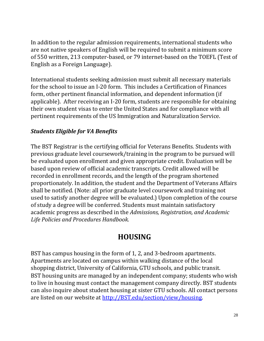In addition to the regular admission requirements, international students who are not native speakers of English will be required to submit a minimum score of 550 written, 213 computer-based, or 79 internet-based on the TOEFL (Test of English as a Foreign Language).

International students seeking admission must submit all necessary materials for the school to issue an I-20 form. This includes a Certification of Finances form, other pertinent financial information, and dependent information (if applicable). After receiving an I-20 form, students are responsible for obtaining their own student visas to enter the United States and for compliance with all pertinent requirements of the US Immigration and Naturalization Service.

### *Students Eligible for VA Benefits*

The BST Registrar is the certifying official for Veterans Benefits. Students with previous graduate level coursework/training in the program to be pursued will be evaluated upon enrollment and given appropriate credit. Evaluation will be based upon review of official academic transcripts. Credit allowed will be recorded in enrollment records, and the length of the program shortened proportionately. In addition, the student and the Department of Veterans Affairs shall be notified. (Note: all prior graduate level coursework and training not used to satisfy another degree will be evaluated.) Upon completion of the course of study a degree will be conferred. Students must maintain satisfactory academic progress as described in the *Admissions, Registration, and Academic Life Policies and Procedures Handbook.* 

# **HOUSING**

BST has campus housing in the form of 1, 2, and 3-bedroom apartments. Apartments are located on campus within walking distance of the local shopping district, University of California, GTU schools, and public transit. BST housing units are managed by an independent company; students who wish to live in housing must contact the management company directly. BST students can also inquire about student housing at sister GTU schools. All contact persons are listed on our website at [http://BST.edu/section/view/housing.](http://absw.edu/section/view/housing)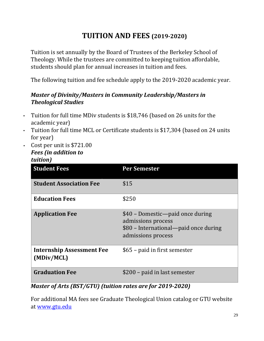# **TUITION AND FEES (2019-2020)**

Tuition is set annually by the Board of Trustees of the Berkeley School of Theology. While the trustees are committed to keeping tuition affordable, students should plan for annual increases in tuition and fees.

The following tuition and fee schedule apply to the 2019-2020 academic year.

### *Master of Divinity/Masters in Community Leadership/Masters in Theological Studies*

- Tuition for full time MDiv students is \$18,746 (based on 26 units for the academic year)
- Tuition for full time MCL or Certificate students is \$17,304 (based on 24 units for year)
- Cost per unit is \$721.00 *Fees (in addition to*

#### *tuition)*

| <b>Student Fees</b>                            | <b>Per Semester</b>                                                                                                   |
|------------------------------------------------|-----------------------------------------------------------------------------------------------------------------------|
| <b>Student Association Fee</b>                 | \$15                                                                                                                  |
| <b>Education Fees</b>                          | \$250                                                                                                                 |
| <b>Application Fee</b>                         | \$40 - Domestic—paid once during<br>admissions process<br>\$80 - International—paid once during<br>admissions process |
| <b>Internship Assessment Fee</b><br>(MDiv/MCL) | \$65 – paid in first semester                                                                                         |
| <b>Graduation Fee</b>                          | \$200 - paid in last semester                                                                                         |

*Master of Arts (BST/GTU) (tuition rates are for 2019-2020)* 

For additional MA fees see Graduate Theological Union catalog or GTU website at [www.gtu.edu](http://www.gtu.edu/)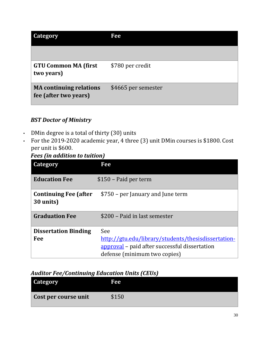| <b>Category</b>                                         | Fee                 |
|---------------------------------------------------------|---------------------|
|                                                         |                     |
| <b>GTU Common MA (first</b><br>two years)               | \$780 per credit    |
| <b>MA continuing relations</b><br>fee (after two years) | \$4665 per semester |

#### *BST Doctor of Ministry*

- DMin degree is a total of thirty (30) units
- For the 2019-2020 academic year, 4 three (3) unit DMin courses is \$1800. Cost per unit is \$600.

#### *Fees (in addition to tuition)*

| Category                                  | Fee                                                                                                                                         |
|-------------------------------------------|---------------------------------------------------------------------------------------------------------------------------------------------|
| <b>Education Fee</b>                      | \$150 - Paid per term                                                                                                                       |
| <b>Continuing Fee (after</b><br>30 units) | \$750 – per January and June term                                                                                                           |
| <b>Graduation Fee</b>                     | \$200 – Paid in last semester                                                                                                               |
| <b>Dissertation Binding</b><br>Fee        | See<br>http://gtu.edu/library/students/thesisdissertation-<br>approval - paid after successful dissertation<br>defense (minimum two copies) |

### *Auditor Fee/Continuing Education Units (CEUs)*

| <b>Category</b>      | Fee   |
|----------------------|-------|
| Cost per course unit | \$150 |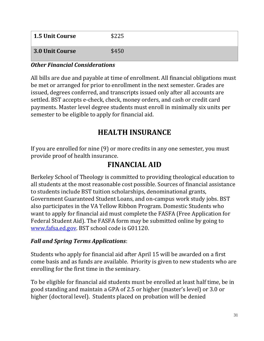| 1.5 Unit Course | \$225 |
|-----------------|-------|
| 3.0 Unit Course | \$450 |

### *Other Financial Considerations*

All bills are due and payable at time of enrollment. All financial obligations must be met or arranged for prior to enrollment in the next semester. Grades are issued, degrees conferred, and transcripts issued only after all accounts are settled. BST accepts e-check, check, money orders, and cash or credit card payments. Master level degree students must enroll in minimally six units per semester to be eligible to apply for financial aid.

# **HEALTH INSURANCE**

If you are enrolled for nine (9) or more credits in any one semester, you must provide proof of health insurance.

# **FINANCIAL AID**

Berkeley School of Theology is committed to providing theological education to all students at the most reasonable cost possible. Sources of financial assistance to students include BST tuition scholarships, denominational grants, Government Guaranteed Student Loans, and on-campus work study jobs. BST also participates in the VA Yellow Ribbon Program. Domestic Students who want to apply for financial aid must complete the FASFA (Free Application for Federal Student Aid). The FASFA form may be submitted online by going to [www.fafsa.ed.gov.](http://www.fafsa.ed.gov/) BST school code is G01120.

#### *Fall and Spring Terms Applications*:

Students who apply for financial aid after April 15 will be awarded on a first come basis and as funds are available. Priority is given to new students who are enrolling for the first time in the seminary.

To be eligible for financial aid students must be enrolled at least half time, be in good standing and maintain a GPA of 2.5 or higher (master's level) or 3.0 or higher (doctoral level). Students placed on probation will be denied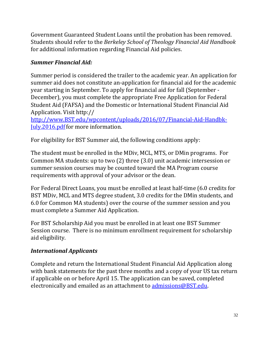Government Guaranteed Student Loans until the probation has been removed. Students should refer to the *Berkeley School of Theology Financial Aid Handbook* for additional information regarding Financial Aid policies.

# *Summer Financial Aid:*

Summer period is considered the trailer to the academic year. An application for summer aid does not constitute an-application for financial aid for the academic year starting in September. To apply for financial aid for fall (September - December), you must complete the appropriate Free Application for Federal Student Aid (FAFSA) and the Domestic or International Student Financial Aid Application. Visit http:/[/](http://www.absw.edu/wp-content/uploads/2016/07/Financial-Aid-Handbk-July.2016.pdf)

[http://www.BST.edu/wpcontent/uploads/2016/07/Financial-Aid-Handbk-](http://www.absw.edu/wp-content/uploads/2016/07/Financial-Aid-Handbk-July.2016.pdf)[July.2016.pdf](http://www.absw.edu/wp-content/uploads/2016/07/Financial-Aid-Handbk-July.2016.pdf) [f](http://www.absw.edu/wp-content/uploads/2016/07/Financial-Aid-Handbk-July.2016.pdf)or more information.

For eligibility for BST Summer aid, the following conditions apply:

The student must be enrolled in the MDiv, MCL, MTS, or DMin programs. For Common MA students: up to two (2) three (3.0) unit academic intersession or summer session courses may be counted toward the MA Program course requirements with approval of your advisor or the dean.

For Federal Direct Loans, you must be enrolled at least half-time (6.0 credits for BST MDiv, MCL and MTS degree student, 3.0 credits for the DMin students, and 6.0 for Common MA students) over the course of the summer session and you must complete a Summer Aid Application.

For BST Scholarship Aid you must be enrolled in at least one BST Summer Session course. There is no minimum enrollment requirement for scholarship aid eligibility.

# *International Applicants*

Complete and return the International Student Financial Aid Application along with bank statements for the past three months and a copy of your US tax return if applicable on or before April 15. The application can be saved, completed electronically and emailed as an attachment to admissions@BST.edu.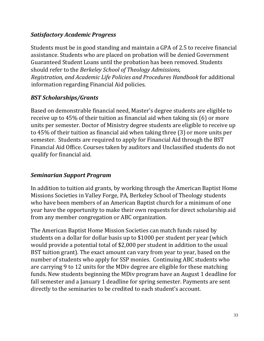### *Satisfactory Academic Progress*

Students must be in good standing and maintain a GPA of 2.5 to receive financial assistance. Students who are placed on probation will be denied Government Guaranteed Student Loans until the probation has been removed. Students should refer to the *Berkeley School of Theology Admissions, Registration, and Academic Life Policies and Procedures Handbook* for additional information regarding Financial Aid policies.

# *BST Scholarships/Grants*

Based on demonstrable financial need, Master's degree students are eligible to receive up to 45% of their tuition as financial aid when taking six (6) or more units per semester. Doctor of Ministry degree students are eligible to receive up to 45% of their tuition as financial aid when taking three (3) or more units per semester. Students are required to apply for Financial Aid through the BST Financial Aid Office. Courses taken by auditors and Unclassified students do not qualify for financial aid.

#### *Seminarian Support Program*

In addition to tuition aid grants, by working through the American Baptist Home Missions Societies in Valley Forge, PA, Berkeley School of Theology students who have been members of an American Baptist church for a minimum of one year have the opportunity to make their own requests for direct scholarship aid from any member congregation or ABC organization.

The American Baptist Home Mission Societies can match funds raised by students on a dollar for dollar basis up to \$1000 per student per year (which would provide a potential total of \$2,000 per student in addition to the usual BST tuition grant). The exact amount can vary from year to year, based on the number of students who apply for SSP monies. Continuing ABC students who are carrying 9 to 12 units for the MDiv degree are eligible for these matching funds. New students beginning the MDiv program have an August 1 deadline for fall semester and a January 1 deadline for spring semester. Payments are sent directly to the seminaries to be credited to each student's account.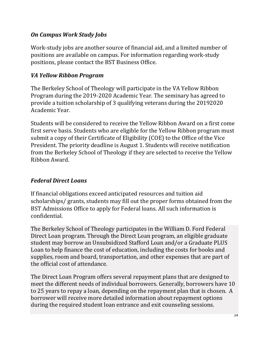### *On Campus Work Study Jobs*

Work-study jobs are another source of financial aid, and a limited number of positions are available on campus. For information regarding work-study positions, please contact the BST Business Office.

#### *VA Yellow Ribbon Program*

The Berkeley School of Theology will participate in the VA Yellow Ribbon Program during the 2019-2020 Academic Year. The seminary has agreed to provide a tuition scholarship of 3 qualifying veterans during the 20192020 Academic Year.

Students will be considered to receive the Yellow Ribbon Award on a first come first serve basis. Students who are eligible for the Yellow Ribbon program must submit a copy of their Certificate of Eligibility (COE) to the Office of the Vice President. The priority deadline is August 1. Students will receive notification from the Berkeley School of Theology if they are selected to receive the Yellow Ribbon Award.

#### *Federal Direct Loans*

If financial obligations exceed anticipated resources and tuition aid scholarships/ grants, students may fill out the proper forms obtained from the BST Admissions Office to apply for Federal loans. All such information is confidential.

The Berkeley School of Theology participates in the William D. Ford Federal Direct Loan program. Through the Direct Loan program, an eligible graduate student may borrow an Unsubsidized Stafford Loan and/or a Graduate PLUS Loan to help finance the cost of education, including the costs for books and supplies, room and board, transportation, and other expenses that are part of the official cost of attendance.

The Direct Loan Program offers several repayment plans that are designed to meet the different needs of individual borrowers. Generally, borrowers have 10 to 25 years to repay a loan, depending on the repayment plan that is chosen. A borrower will receive more detailed information about repayment options during the required student loan entrance and exit counseling sessions.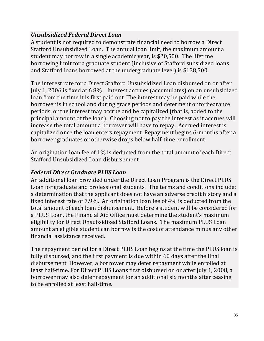### *Unsubsidized Federal Direct Loan*

A student is not required to demonstrate financial need to borrow a Direct Stafford Unsubsidized Loan. The annual loan limit, the maximum amount a student may borrow in a single academic year, is \$20,500. The lifetime borrowing limit for a graduate student (inclusive of Stafford subsidized loans and Stafford loans borrowed at the undergraduate level) is \$138,500.

The interest rate for a Direct Stafford Unsubsidized Loan disbursed on or after July 1, 2006 is fixed at 6.8%. Interest accrues (accumulates) on an unsubsidized loan from the time it is first paid out. The interest may be paid while the borrower is in school and during grace periods and deferment or forbearance periods, or the interest may accrue and be capitalized (that is, added to the principal amount of the loan). Choosing not to pay the interest as it accrues will increase the total amount a borrower will have to repay. Accrued interest is capitalized once the loan enters repayment. Repayment begins 6-months after a borrower graduates or otherwise drops below half-time enrollment.

An origination loan fee of 1% is deducted from the total amount of each Direct Stafford Unsubsidized Loan disbursement.

#### *Federal Direct Graduate PLUS Loan*

An additional loan provided under the Direct Loan Program is the Direct PLUS Loan for graduate and professional students. The terms and conditions include: a determination that the applicant does not have an adverse credit history and a fixed interest rate of 7.9%. An origination loan fee of 4% is deducted from the total amount of each loan disbursement. Before a student will be considered for a PLUS Loan, the Financial Aid Office must determine the student's maximum eligibility for Direct Unsubsidized Stafford Loans. The maximum PLUS Loan amount an eligible student can borrow is the cost of attendance minus any other financial assistance received.

The repayment period for a Direct PLUS Loan begins at the time the PLUS loan is fully disbursed, and the first payment is due within 60 days after the final disbursement. However, a borrower may defer repayment while enrolled at least half-time. For Direct PLUS Loans first disbursed on or after July 1, 2008, a borrower may also defer repayment for an additional six months after ceasing to be enrolled at least half-time.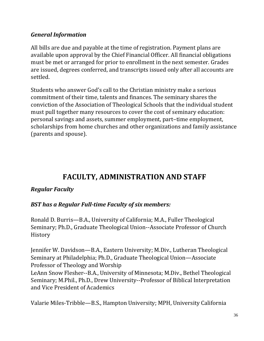#### *General Information*

All bills are due and payable at the time of registration. Payment plans are available upon approval by the Chief Financial Officer. All financial obligations must be met or arranged for prior to enrollment in the next semester. Grades are issued, degrees conferred, and transcripts issued only after all accounts are settled.

Students who answer God's call to the Christian ministry make a serious commitment of their time, talents and finances. The seminary shares the conviction of the Association of Theological Schools that the individual student must pull together many resources to cover the cost of seminary education: personal savings and assets, summer employment, part–time employment, scholarships from home churches and other organizations and family assistance (parents and spouse).

# **FACULTY, ADMINISTRATION AND STAFF**

#### *Regular Faculty*

#### *BST has a Regular Full-time Faculty of six members:*

Ronald D. Burris—B.A., University of California; M.A., Fuller Theological Seminary; Ph.D., Graduate Theological Union--Associate Professor of Church History

Jennifer W. Davidson—B.A., Eastern University; M.Div., Lutheran Theological Seminary at Philadelphia; Ph.D., Graduate Theological Union—Associate Professor of Theology and Worship LeAnn Snow Flesher--B.A., University of Minnesota; M.Div., Bethel Theological Seminary; M.Phil., Ph.D., Drew University--Professor of Biblical Interpretation and Vice President of Academics

Valarie Miles-Tribble—B.S., Hampton University; MPH, University California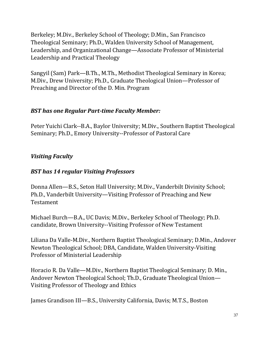Berkeley; M.Div., Berkeley School of Theology; D.Min., San Francisco Theological Seminary; Ph.D., Walden University School of Management, Leadership, and Organizational Change—Associate Professor of Ministerial Leadership and Practical Theology

Sangyil (Sam) Park—B.Th., M.Th., Methodist Theological Seminary in Korea; M.Div., Drew University; Ph.D., Graduate Theological Union—Professor of Preaching and Director of the D. Min. Program

### *BST has one Regular Part-time Faculty Member:*

Peter Yuichi Clark--B.A., Baylor University; M.Div., Southern Baptist Theological Seminary; Ph.D., Emory University--Professor of Pastoral Care

# *Visiting Faculty*

#### *BST has 14 regular Visiting Professors*

Donna Allen—B.S., Seton Hall University; M.Div., Vanderbilt Divinity School; Ph.D., Vanderbilt University—Visiting Professor of Preaching and New **Testament** 

Michael Burch—B.A., UC Davis; M.Div., Berkeley School of Theology; Ph.D. candidate, Brown University--Visiting Professor of New Testament

Liliana Da Valle-M.Div., Northern Baptist Theological Seminary; D.Min., Andover Newton Theological School; DBA, Candidate, Walden University-Visiting Professor of Ministerial Leadership

Horacio R. Da Valle—M.Div., Northern Baptist Theological Seminary; D. Min., Andover Newton Theological School; Th.D., Graduate Theological Union— Visiting Professor of Theology and Ethics

James Grandison III—B.S., University California, Davis; M.T.S., Boston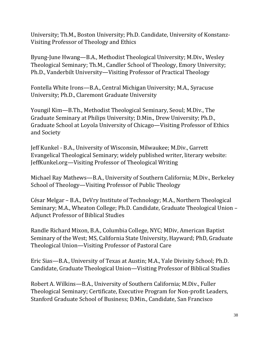University; Th.M., Boston University; Ph.D. Candidate, University of Konstanz-Visiting Professor of Theology and Ethics

Byung-June Hwang—B.A., Methodist Theological University; M.Div., Wesley Theological Seminary; Th.M., Candler School of Theology, Emory University; Ph.D., Vanderbilt University—Visiting Professor of Practical Theology

Fontella White Irons—B.A., Central Michigan University; M.A., Syracuse University; Ph.D., Claremont Graduate University

Youngil Kim—B.Th., Methodist Theological Seminary, Seoul; M.Div., The Graduate Seminary at Philips University; D.Min., Drew University; Ph.D., Graduate School at Loyola University of Chicago—Visiting Professor of Ethics and Society

Jeff Kunkel - B.A., University of Wisconsin, Milwaukee; M.Div., Garrett Evangelical Theological Seminary; widely published writer, literary website: JeffKunkel.org—Visiting Professor of Theological Writing

Michael Ray Mathews—B.A., University of Southern California; M.Div., Berkeley School of Theology—Visiting Professor of Public Theology

César Melgar – B.A., DeVry Institute of Technology; M.A., Northern Theological Seminary; M.A., Wheaton College; Ph.D. Candidate, Graduate Theological Union – Adjunct Professor of Biblical Studies

Randle Richard Mixon, B.A., Columbia College, NYC; MDiv, American Baptist Seminary of the West; MS, California State University, Hayward; PhD, Graduate Theological Union—Visiting Professor of Pastoral Care

Eric Sias—B.A., University of Texas at Austin; M.A., Yale Divinity School; Ph.D. Candidate, Graduate Theological Union—Visiting Professor of Biblical Studies

Robert A. Wilkins—B.A., University of Southern California; M.Div., Fuller Theological Seminary; Certificate, Executive Program for Non-profit Leaders, Stanford Graduate School of Business; D.Min., Candidate, San Francisco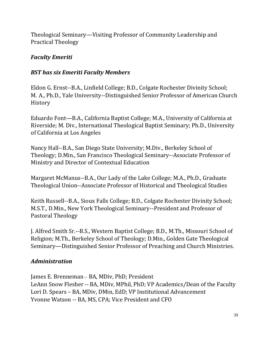Theological Seminary—Visiting Professor of Community Leadership and Practical Theology

### *Faculty Emeriti*

#### *BST has six Emeriti Faculty Members*

Eldon G. Ernst--B.A., Linfield College; B.D., Colgate Rochester Divinity School; M. A., Ph.D., Yale University--Distinguished Senior Professor of American Church History

Eduardo Font—B.A., California Baptist College; M.A., University of California at Riverside; M. Div., International Theological Baptist Seminary; Ph.D., University of California at Los Angeles

Nancy Hall--B.A., San Diego State University; M.Div., Berkeley School of Theology; D.Min., San Francisco Theological Seminary--Associate Professor of Ministry and Director of Contextual Education

Margaret McManus--B.A., Our Lady of the Lake College; M.A., Ph.D., Graduate Theological Union--Associate Professor of Historical and Theological Studies

Keith Russell--B.A., Sioux Falls College; B.D., Colgate Rochester Divinity School; M.S.T., D.Min., New York Theological Seminary--President and Professor of Pastoral Theology

J. Alfred Smith Sr.--B.S., Western Baptist College; B.D., M.Th., Missouri School of Religion; M.Th., Berkeley School of Theology; D.Min., Golden Gate Theological Seminary—Distinguished Senior Professor of Preaching and Church Ministries.

#### *Administration*

James E. Brenneman -- BA, MDiv, PhD; President LeAnn Snow Flesher -- BA, MDiv, MPhil, PhD; VP Academics/Dean of the Faculty Lori D. Spears – BA, MDiv, DMin, EdD; VP Institutional Advancement Yvonne Watson -- BA, MS, CPA; Vice President and CFO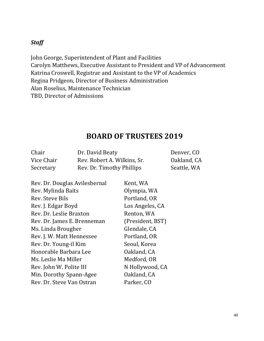### *Staff*

John George, Superintendent of Plant and Facilities Carolyn Matthews, Executive Assistant to President and VP of Advancement Katrina Croswell, Registrar and Assistant to the VP of Academics Regina Pridgeon, Director of Business Administration Alan Roselius, Maintenance Technician TBD, Director of Admissions

# **BOARD OF TRUSTEES 2019**

| Chair      | Dr. David Beaty             | Denver, CO  |
|------------|-----------------------------|-------------|
| Vice Chair | Rev. Robert A. Wilkins, Sr. | Oakland, CA |
| Secretary  | Rev. Dr. Timothy Phillips   | Seattle, WA |

| Rev. Dr. Douglas Avilesbernal | Kent, WA         |
|-------------------------------|------------------|
| Rev. Mylinda Baits            | Olympia, WA      |
| Rev. Steve Bils               | Portland, OR     |
| Rev. J. Edgar Boyd            | Los Angeles, CA  |
| Rev. Dr. Leslie Braxton       | Renton, WA       |
| Rev. Dr. James E. Brenneman   | (President, BST) |
| Ms. Linda Brougher            | Glendale, CA     |
| Rev. J. W. Matt Hennessee     | Portland, OR     |
| Rev. Dr. Young-il Kim         | Seoul, Korea     |
| Honorable Barbara Lee         | Oakland, CA      |
| Ms. Leslie Ma Miller          | Medford, OR      |
| Rev. John W. Polite III       | N Hollywood, CA  |
| Min. Dorothy Spann-Agee       | Oakland, CA      |
| Rev. Dr. Steve Van Ostran     | Parker, CO       |